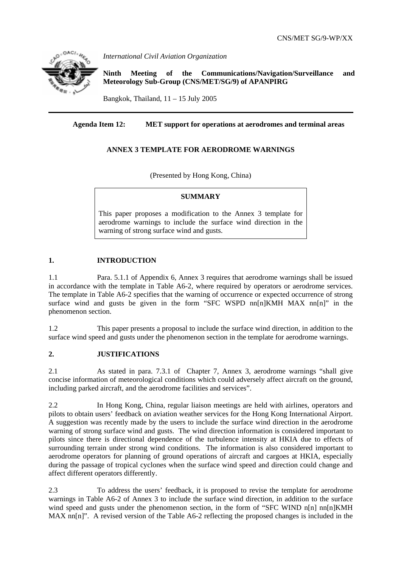

*International Civil Aviation Organization* 

**Ninth Meeting of the Communications/Navigation/Surveillance and Meteorology Sub-Group (CNS/MET/SG/9) of APANPIRG**

Bangkok, Thailand,  $11 - 15$  July 2005

## **Agenda Item 12: MET support for operations at aerodromes and terminal areas**

## **ANNEX 3 TEMPLATE FOR AERODROME WARNINGS**

(Presented by Hong Kong, China)

#### **SUMMARY**

This paper proposes a modification to the Annex 3 template for aerodrome warnings to include the surface wind direction in the warning of strong surface wind and gusts.

## **1. INTRODUCTION**

1.1 Para. 5.1.1 of Appendix 6, Annex 3 requires that aerodrome warnings shall be issued in accordance with the template in Table A6-2, where required by operators or aerodrome services. The template in Table A6-2 specifies that the warning of occurrence or expected occurrence of strong surface wind and gusts be given in the form "SFC WSPD nn[n]KMH MAX nn[n]" in the phenomenon section.

1.2 This paper presents a proposal to include the surface wind direction, in addition to the surface wind speed and gusts under the phenomenon section in the template for aerodrome warnings.

#### **2. JUSTIFICATIONS**

2.1 As stated in para. 7.3.1 of Chapter 7, Annex 3, aerodrome warnings "shall give concise information of meteorological conditions which could adversely affect aircraft on the ground, including parked aircraft, and the aerodrome facilities and services".

2.2 In Hong Kong, China, regular liaison meetings are held with airlines, operators and pilots to obtain users' feedback on aviation weather services for the Hong Kong International Airport. A suggestion was recently made by the users to include the surface wind direction in the aerodrome warning of strong surface wind and gusts. The wind direction information is considered important to pilots since there is directional dependence of the turbulence intensity at HKIA due to effects of surrounding terrain under strong wind conditions. The information is also considered important to aerodrome operators for planning of ground operations of aircraft and cargoes at HKIA, especially during the passage of tropical cyclones when the surface wind speed and direction could change and affect different operators differently.

2.3 To address the users' feedback, it is proposed to revise the template for aerodrome warnings in Table A6-2 of Annex 3 to include the surface wind direction, in addition to the surface wind speed and gusts under the phenomenon section, in the form of "SFC WIND n[n] nn[n]KMH MAX nn[n]". A revised version of the Table A6-2 reflecting the proposed changes is included in the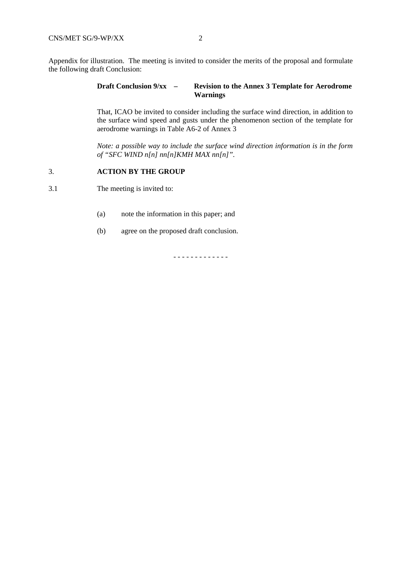Appendix for illustration. The meeting is invited to consider the merits of the proposal and formulate the following draft Conclusion:

## **Draft Conclusion 9/xx – Revision to the Annex 3 Template for Aerodrome Warnings**

That, ICAO be invited to consider including the surface wind direction, in addition to the surface wind speed and gusts under the phenomenon section of the template for aerodrome warnings in Table A6-2 of Annex 3

*Note: a possible way to include the surface wind direction information is in the form of "SFC WIND n[n] nn[n]KMH MAX nn[n]".* 

#### 3. **ACTION BY THE GROUP**

3.1 The meeting is invited to:

- (a) note the information in this paper; and
- (b) agree on the proposed draft conclusion.

- - - - - - - - - - - - -